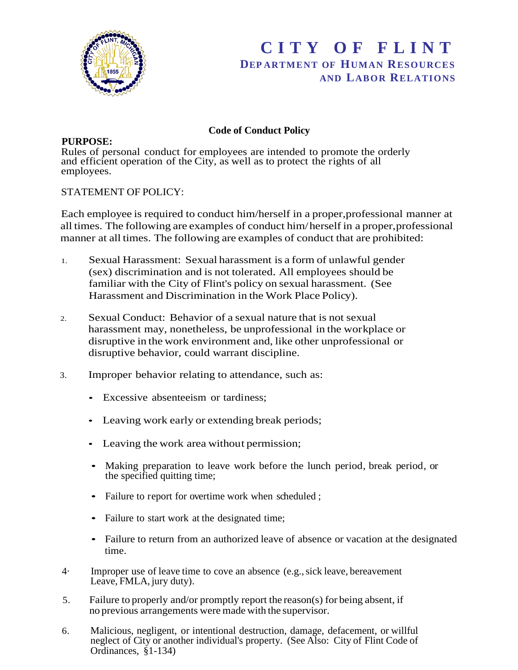

## **C I T Y O F F L I N T DEP ARTMENT OF HUMAN RESOURCES AND LABOR RELATIONS**

## **Code of Conduct Policy**

**PURPOSE:**

Rules of personal conduct for employees are intended to promote the orderly and efficient operation of the City, as well as to protect the rights of all employees.

## STATEMENT OF POLICY:

Each employee is required to conduct him/herself in a proper,professional manner at all times. The following are examples of conduct him/herself in a proper,professional manner at all times. The following are examples of conduct that are prohibited:

- 1. Sexual Harassment: Sexual harassment is a form of unlawful gender (sex) discrimination and is not tolerated. All employees should be familiar with the City of Flint's policy on sexual harassment. (See Harassment and Discrimination in the Work Place Policy).
- 2. Sexual Conduct: Behavior of a sexual nature that is not sexual harassment may, nonetheless, be unprofessional in the workplace or disruptive in the work environment and, like other unprofessional or disruptive behavior, could warrant discipline.
- 3. Improper behavior relating to attendance, such as:
	- Excessive absenteeism or tardiness;
	- Leaving work early or extending break periods;
	- Leaving the work area without permission;
	- Making preparation to leave work before the lunch period, break period, or the specified quitting time;
	- Failure to report for overtime work when scheduled;
	- Failure to start work at the designated time;
	- Failure to return from an authorized leave of absence or vacation at the designated time.
- 4· Improper use of leave time to cove an absence (e.g.,sick leave, bereavement Leave, FMLA, jury duty).
- 5. Failure to properly and/or promptly report the reason(s) for being absent, if no previous arrangements were made with the supervisor.
- 6. Malicious, negligent, or intentional destruction, damage, defacement, or willful neglect of City or another individual's property. (See Also: City of Flint Code of Ordinances, §1-134)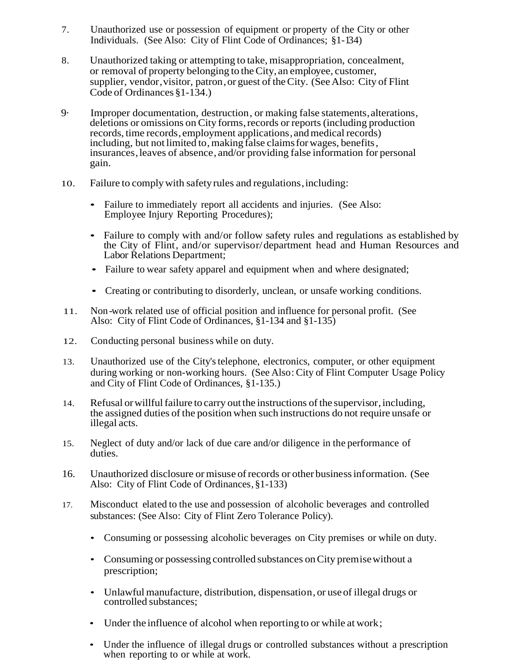- 7. Unauthorized use or possession of equipment or property of the City or other Individuals. (See Also: City of Flint Code of Ordinances; §1-134)
- 8. Unauthorized taking or attempting to take, misappropriation, concealment, or removal of property belonging to theCity, an employee, customer, supplier, vendor, visitor, patron, or guest of the City. (See Also: City of Flint Code of Ordinances §1-134.)
- 9· Improper documentation, destruction, or making false statements,alterations, deletions or omissions on City forms,records or reports (including production records, time records, employment applications, and medical records) including, but not limited to, making false claims for wages, benefits. insurances, leaves of absence, and/or providing false information for personal gain.
- 10. Failure to complywith safety rules and regulations,including:
	- Failure to immediately report all accidents and injuries. (See Also: Employee Injury Reporting Procedures);
	- Failure to comply with and/or follow safety rules and regulations as established by the City of Flint, and/or supervisor/department head and Human Resources and Labor Relations Department;
	- Failure to wear safety apparel and equipment when and where designated;
	- Creating or contributing to disorderly, unclean, or unsafe working conditions.
- 11. Non-work related use of official position and influence for personal profit. (See Also: City of Flint Code of Ordinances, §1-134 and §1-135)
- 12. Conducting personal business while on duty.
- 13. Unauthorized use of the City'stelephone, electronics, computer, or other equipment during working or non-working hours. (See Also: City of Flint Computer Usage Policy and City of Flint Code of Ordinances, §1-135.)
- 14. Refusal or willful failure to carry out the instructions of the supervisor, including, the assigned duties of the position when such instructions do not require unsafe or illegal acts.
- 15. Neglect of duty and/or lack of due care and/or diligence in the performance of duties.
- 16. Unauthorized disclosure or misuse ofrecords or otherbusinessinformation. (See Also: City of Flint Code of Ordinances,§1-133)
- 17. Misconduct elated to the use and possession of alcoholic beverages and controlled substances: (See Also: City of Flint Zero Tolerance Policy).
	- Consuming or possessing alcoholic beverages on City premises or while on duty.
	- Consuming or possessing controlled substances on City premise without a prescription;
	- Unlawful manufacture, distribution, dispensation, or use of illegal drugs or controlled substances;
	- Under the influence of alcohol when reporting to or while at work;
	- Under the influence of illegal drugs or controlled substances without a prescription when reporting to or while at work.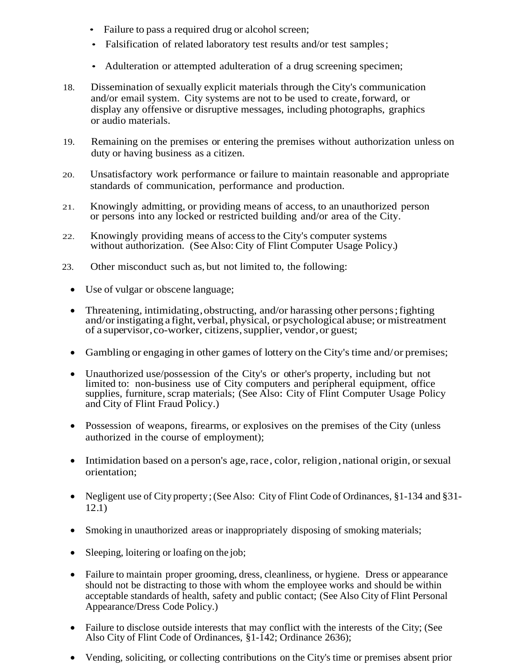- Failure to pass a required drug or alcohol screen;
- Falsification of related laboratory test results and/or test samples;
- Adulteration or attempted adulteration of a drug screening specimen;
- 18. Dissemination of sexually explicit materials through the City's communication and/or email system. City systems are not to be used to create,forward, or display any offensive or disruptive messages, including photographs, graphics or audio materials.
- 19. Remaining on the premises or entering the premises without authorization unless on duty or having business as a citizen.
- 20. Unsatisfactory work performance or failure to maintain reasonable and appropriate standards of communication, performance and production.
- 21. Knowingly admitting, or providing means of access, to an unauthorized person or persons into any locked or restricted building and/or area of the City.
- 22. Knowingly providing means of accessto the City's computer systems without authorization. (See Also: City of Flint Computer Usage Policy.)
- 23. Other misconduct such as, but not limited to, the following:
	- Use of vulgar or obscene language;
	- Threatening, intimidating, obstructing, and/or harassing other persons; fighting and/orinstigating a fight, verbal, physical, or psychological abuse; or mistreatment of a supervisor,co-worker, citizens,supplier, vendor,or guest;
	- Gambling or engaging in other games of lottery on the City's time and/or premises;
	- Unauthorized use/possession of the City's or other's property, including but not limited to: non-business use of City computers and peripheral equipment, office supplies, furniture, scrap materials; (See Also: City of Flint Computer Usage Policy and City of Flint Fraud Policy.)
	- Possession of weapons, firearms, or explosives on the premises of the City (unless authorized in the course of employment);
	- Intimidation based on a person's age, race, color, religion, national origin, or sexual orientation;
	- Negligent use of City property; (See Also: City of Flint Code of Ordinances, §1-134 and §31-12.1)
	- Smoking in unauthorized areas or inappropriately disposing of smoking materials;
	- Sleeping, loitering or loafing on the job;
	- Failure to maintain proper grooming, dress, cleanliness, or hygiene. Dress or appearance should not be distracting to those with whom the employee works and should be within acceptable standards of health, safety and public contact; (See Also City of Flint Personal Appearance/Dress Code Policy.)
	- Failure to disclose outside interests that may conflict with the interests of the City; (See Also City of Flint Code of Ordinances, §1-142; Ordinance 2636);
	- Vending, soliciting, or collecting contributions on the City's time or premises absent prior